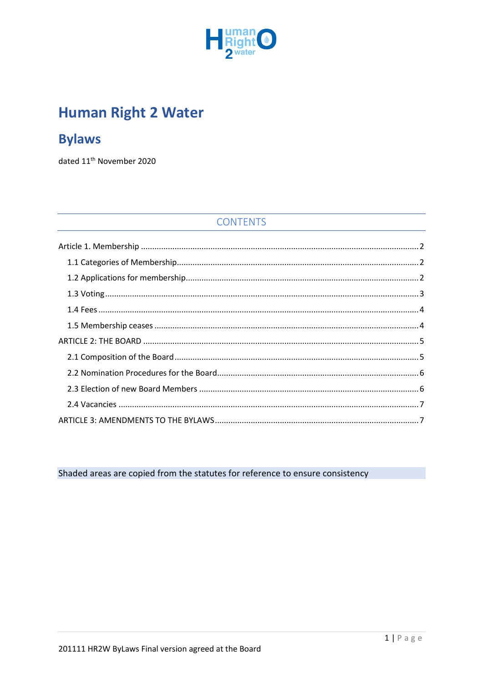

# **Human Right 2 Water**

## **Bylaws**

dated 11<sup>th</sup> November 2020

## **CONTENTS**

<span id="page-0-0"></span>Shaded areas are copied from the statutes for reference to ensure consistency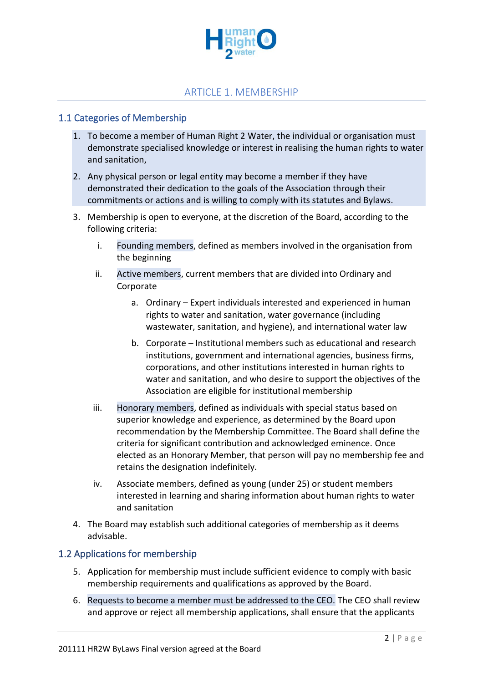

#### ARTICLE 1. MEMBERSHIP

#### <span id="page-1-0"></span>1.1 Categories of Membership

- 1. To become a member of Human Right 2 Water, the individual or organisation must demonstrate specialised knowledge or interest in realising the human rights to water and sanitation,
- 2. Any physical person or legal entity may become a member if they have demonstrated their dedication to the goals of the Association through their commitments or actions and is willing to comply with its statutes and Bylaws.
- 3. Membership is open to everyone, at the discretion of the Board, according to the following criteria:
	- i. Founding members, defined as members involved in the organisation from the beginning
	- ii. Active members, current members that are divided into Ordinary and Corporate
		- a. Ordinary Expert individuals interested and experienced in human rights to water and sanitation, water governance (including wastewater, sanitation, and hygiene), and international water law
		- b. Corporate Institutional members such as educational and research institutions, government and international agencies, business firms, corporations, and other institutions interested in human rights to water and sanitation, and who desire to support the objectives of the Association are eligible for institutional membership
	- iii. Honorary members, defined as individuals with special status based on superior knowledge and experience, as determined by the Board upon recommendation by the Membership Committee. The Board shall define the criteria for significant contribution and acknowledged eminence. Once elected as an Honorary Member, that person will pay no membership fee and retains the designation indefinitely.
	- iv. Associate members, defined as young (under 25) or student members interested in learning and sharing information about human rights to water and sanitation
- 4. The Board may establish such additional categories of membership as it deems advisable.

#### <span id="page-1-1"></span>1.2 Applications for membership

- 5. Application for membership must include sufficient evidence to comply with basic membership requirements and qualifications as approved by the Board.
- 6. Requests to become a member must be addressed to the CEO. The CEO shall review and approve or reject all membership applications, shall ensure that the applicants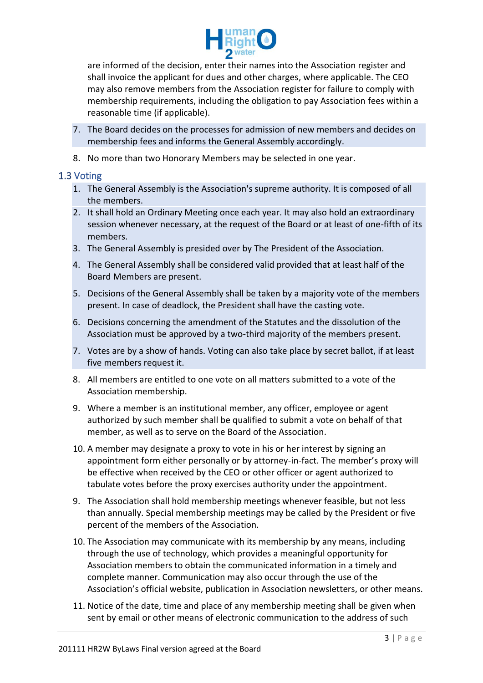

are informed of the decision, enter their names into the Association register and shall invoice the applicant for dues and other charges, where applicable. The CEO may also remove members from the Association register for failure to comply with membership requirements, including the obligation to pay Association fees within a reasonable time (if applicable).

- 7. The Board decides on the processes for admission of new members and decides on membership fees and informs the General Assembly accordingly.
- 8. No more than two Honorary Members may be selected in one year.

#### <span id="page-2-0"></span>1.3 Voting

- 1. The General Assembly is the Association's supreme authority. It is composed of all the members.
- 2. It shall hold an Ordinary Meeting once each year. It may also hold an extraordinary session whenever necessary, at the request of the Board or at least of one-fifth of its members.
- 3. The General Assembly is presided over by The President of the Association.
- 4. The General Assembly shall be considered valid provided that at least half of the Board Members are present.
- 5. Decisions of the General Assembly shall be taken by a majority vote of the members present. In case of deadlock, the President shall have the casting vote.
- 6. Decisions concerning the amendment of the Statutes and the dissolution of the Association must be approved by a two-third majority of the members present.
- 7. Votes are by a show of hands. Voting can also take place by secret ballot, if at least five members request it.
- 8. All members are entitled to one vote on all matters submitted to a vote of the Association membership.
- 9. Where a member is an institutional member, any officer, employee or agent authorized by such member shall be qualified to submit a vote on behalf of that member, as well as to serve on the Board of the Association.
- 10. A member may designate a proxy to vote in his or her interest by signing an appointment form either personally or by attorney-in-fact. The member's proxy will be effective when received by the CEO or other officer or agent authorized to tabulate votes before the proxy exercises authority under the appointment.
- 9. The Association shall hold membership meetings whenever feasible, but not less than annually. Special membership meetings may be called by the President or five percent of the members of the Association.
- 10. The Association may communicate with its membership by any means, including through the use of technology, which provides a meaningful opportunity for Association members to obtain the communicated information in a timely and complete manner. Communication may also occur through the use of the Association's official website, publication in Association newsletters, or other means.
- 11. Notice of the date, time and place of any membership meeting shall be given when sent by email or other means of electronic communication to the address of such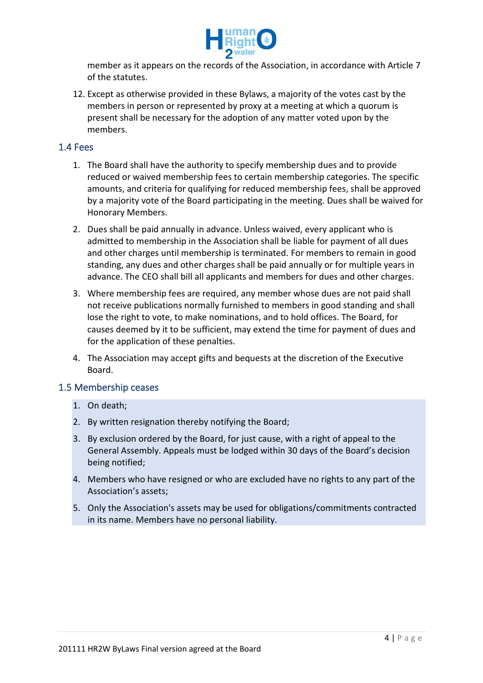

member as it appears on the records of the Association, in accordance with Article 7 of the statutes.

12. Except as otherwise provided in these Bylaws, a majority of the votes cast by the members in person or represented by proxy at a meeting at which a quorum is present shall be necessary for the adoption of any matter voted upon by the members.

#### <span id="page-3-0"></span>1.4 Fees

- 1. The Board shall have the authority to specify membership dues and to provide reduced or waived membership fees to certain membership categories. The specific amounts, and criteria for qualifying for reduced membership fees, shall be approved by a majority vote of the Board participating in the meeting. Dues shall be waived for Honorary Members.
- 2. Dues shall be paid annually in advance. Unless waived, every applicant who is admitted to membership in the Association shall be liable for payment of all dues and other charges until membership is terminated. For members to remain in good standing, any dues and other charges shall be paid annually or for multiple years in advance. The CEO shall bill all applicants and members for dues and other charges.
- 3. Where membership fees are required, any member whose dues are not paid shall not receive publications normally furnished to members in good standing and shall lose the right to vote, to make nominations, and to hold offices. The Board, for causes deemed by it to be sufficient, may extend the time for payment of dues and for the application of these penalties.
- 4. The Association may accept gifts and bequests at the discretion of the Executive Board.

#### <span id="page-3-1"></span>1.5 Membership ceases

- 1. On death;
- 2. By written resignation thereby notifying the Board;
- 3. By exclusion ordered by the Board, for just cause, with a right of appeal to the General Assembly. Appeals must be lodged within 30 days of the Board's decision being notified;
- 4. Members who have resigned or who are excluded have no rights to any part of the Association's assets;
- 5. Only the Association's assets may be used for obligations/commitments contracted in its name. Members have no personal liability.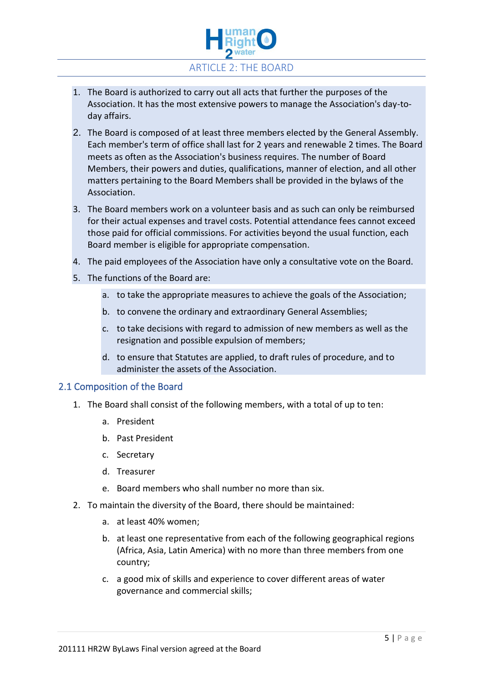

- <span id="page-4-0"></span>1. The Board is authorized to carry out all acts that further the purposes of the Association. It has the most extensive powers to manage the Association's day-today affairs.
- 2. The Board is composed of at least three members elected by the General Assembly. Each member's term of office shall last for 2 years and renewable 2 times. The Board meets as often as the Association's business requires. The number of Board Members, their powers and duties, qualifications, manner of election, and all other matters pertaining to the Board Members shall be provided in the bylaws of the Association.
- 3. The Board members work on a volunteer basis and as such can only be reimbursed for their actual expenses and travel costs. Potential attendance fees cannot exceed those paid for official commissions. For activities beyond the usual function, each Board member is eligible for appropriate compensation.
- 4. The paid employees of the Association have only a consultative vote on the Board.
- 5. The functions of the Board are:
	- a. to take the appropriate measures to achieve the goals of the Association;
	- b. to convene the ordinary and extraordinary General Assemblies;
	- c. to take decisions with regard to admission of new members as well as the resignation and possible expulsion of members;
	- d. to ensure that Statutes are applied, to draft rules of procedure, and to administer the assets of the Association.

#### <span id="page-4-1"></span>2.1 Composition of the Board

- 1. The Board shall consist of the following members, with a total of up to ten:
	- a. President
	- b. Past President
	- c. Secretary
	- d. Treasurer
	- e. Board members who shall number no more than six.
- 2. To maintain the diversity of the Board, there should be maintained:
	- a. at least 40% women;
	- b. at least one representative from each of the following geographical regions (Africa, Asia, Latin America) with no more than three members from one country;
	- c. a good mix of skills and experience to cover different areas of water governance and commercial skills;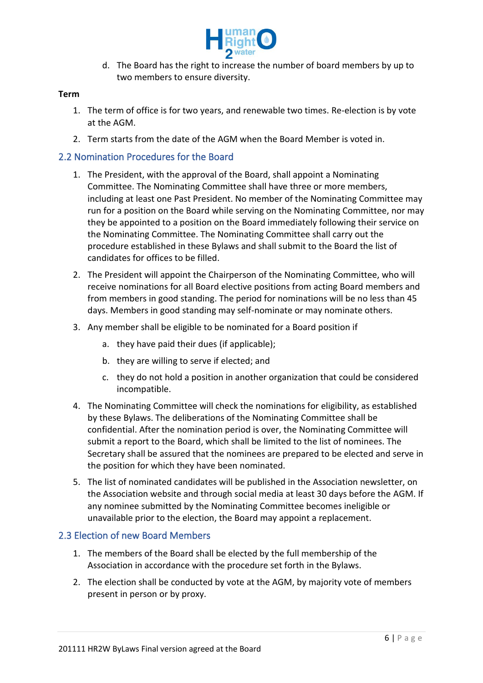

d. The Board has the right to increase the number of board members by up to two members to ensure diversity.

#### **Term**

- 1. The term of office is for two years, and renewable two times. Re-election is by vote at the AGM.
- 2. Term starts from the date of the AGM when the Board Member is voted in.

#### <span id="page-5-0"></span>2.2 Nomination Procedures for the Board

- 1. The President, with the approval of the Board, shall appoint a Nominating Committee. The Nominating Committee shall have three or more members, including at least one Past President. No member of the Nominating Committee may run for a position on the Board while serving on the Nominating Committee, nor may they be appointed to a position on the Board immediately following their service on the Nominating Committee. The Nominating Committee shall carry out the procedure established in these Bylaws and shall submit to the Board the list of candidates for offices to be filled.
- 2. The President will appoint the Chairperson of the Nominating Committee, who will receive nominations for all Board elective positions from acting Board members and from members in good standing. The period for nominations will be no less than 45 days. Members in good standing may self-nominate or may nominate others.
- 3. Any member shall be eligible to be nominated for a Board position if
	- a. they have paid their dues (if applicable);
	- b. they are willing to serve if elected; and
	- c. they do not hold a position in another organization that could be considered incompatible.
- 4. The Nominating Committee will check the nominations for eligibility, as established by these Bylaws. The deliberations of the Nominating Committee shall be confidential. After the nomination period is over, the Nominating Committee will submit a report to the Board, which shall be limited to the list of nominees. The Secretary shall be assured that the nominees are prepared to be elected and serve in the position for which they have been nominated.
- 5. The list of nominated candidates will be published in the Association newsletter, on the Association website and through social media at least 30 days before the AGM. If any nominee submitted by the Nominating Committee becomes ineligible or unavailable prior to the election, the Board may appoint a replacement.

#### <span id="page-5-1"></span>2.3 Election of new Board Members

- 1. The members of the Board shall be elected by the full membership of the Association in accordance with the procedure set forth in the Bylaws.
- 2. The election shall be conducted by vote at the AGM, by majority vote of members present in person or by proxy.